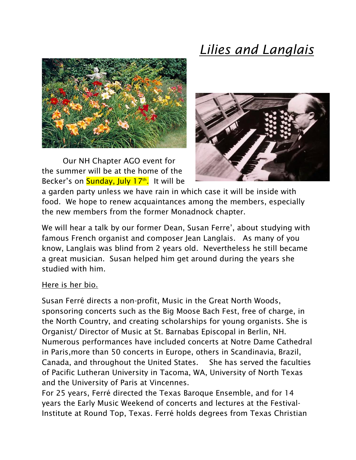



Our NH Chapter AGO event for the summer will be at the home of the Becker's on <mark>Sunday, July 17th.</mark> It will be



a garden party unless we have rain in which case it will be inside with food. We hope to renew acquaintances among the members, especially the new members from the former Monadnock chapter.

We will hear a talk by our former Dean, Susan Ferre', about studying with famous French organist and composer Jean Langlais. As many of you know, Langlais was blind from 2 years old. Nevertheless he still became a great musician. Susan helped him get around during the years she studied with him.

## Here is her bio.

Susan Ferré directs a non-profit, Music in the Great North Woods, sponsoring concerts such as the Big Moose Bach Fest, free of charge, in the North Country, and creating scholarships for young organists. She is Organist/ Director of Music at St. Barnabas Episcopal in Berlin, NH. Numerous performances have included concerts at Notre Dame Cathedral in Paris,more than 50 concerts in Europe, others in Scandinavia, Brazil, Canada, and throughout the United States. She has served the faculties of Pacific Lutheran University in Tacoma, WA, University of North Texas and the University of Paris at Vincennes.

For 25 years, Ferré directed the Texas Baroque Ensemble, and for 14 years the Early Music Weekend of concerts and lectures at the Festival-Institute at Round Top, Texas. Ferré holds degrees from Texas Christian